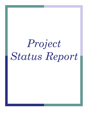# *Project Status Report*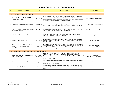### **City of Stayton Project Status Report**

|                | <b>Project Description</b>                                                                      | <b>Dept</b>                      | <b>Project Status</b>                                                                                                                                                                                                                                                                                                                                                    | <b>Project Dates</b>                                        |
|----------------|-------------------------------------------------------------------------------------------------|----------------------------------|--------------------------------------------------------------------------------------------------------------------------------------------------------------------------------------------------------------------------------------------------------------------------------------------------------------------------------------------------------------------------|-------------------------------------------------------------|
|                | Goal 1 - Improve Public Infrastructure                                                          |                                  |                                                                                                                                                                                                                                                                                                                                                                          |                                                             |
|                | Wastewater Treatment Facility (WWTF)<br>Phase 1 Improvements                                    | <b>Public Works</b>              | \$11.3 Million WWTF Plant Upgrade. Slayden Construction Group (SCG). Construction<br>completed. Warranty period initiated August 29, 2012. City operating plant. Retainage<br>withheld until Sludge Dryer operating problems are resolved: seals & consistent operating<br>process. Keller working with Slayden & Thermaflite (supplier).                                | Project Completed. Warranty Period.                         |
| 2              | Facilities Inventory & Maintenance Schedule                                                     | <b>Public Works</b>              | Prepare a maintenance/management program for city-owned buildings and facilities. 2012<br>projects include: HVAC & Roof Replacements at City Hall PD. 100% complete - Sept. 2012.                                                                                                                                                                                        | City Hall/PD HVAC & Roofing completed.                      |
| $\overline{4}$ | 10th Avenue Street & Drainage Improvements<br>(E. Santiam to Hospital)                          | <b>Public Works</b>              | Construction 98% complete. Detention Basin planting - November 2012. Planting to be<br>complete by December 1st. Warranty period started 10-25-2012.                                                                                                                                                                                                                     | Project Completed. Warranty Period.                         |
| 5              | 2012 Street Maintenance Activities                                                              | <b>Public Works</b>              | Summer 2012 maintenance work: gravel streets, pavement patching, crack-sealing<br>completed. Gravel street maintenance in Spring 2013.                                                                                                                                                                                                                                   | 6th Ave Paving Completed.                                   |
| 6              | Sidewalk Maintenance Program                                                                    | <b>Public Works</b>              | City Council approved Sidewalk Maintenance Program in September 2012. Initial Public<br>Information mailing in November 2012. Inventory, Notices and Repair Work before June<br>2013. Focus 1st area of inventory, enforcement and repairs in the Downtown Area.                                                                                                         | January - June 2013                                         |
| 7              | Shaff Rd Grant Apps - Safe Routes to School<br>and ODOT Bicycle/Pedestrian grant<br>application | <b>Public Works</b>              | City application to ODOT passed Step 1 review for a Bike/Ped&TE grant for Shaff Rd near<br>Stayton Middle School. City Engineer John Ashley has prepared a Project Report and City<br>staff will meet with ODOT, North Santiam School District staff and Marion County staff in<br>late November to finalize the grant application.                                      | Final TE/Bike Ped App<br>Due December 13, 2012              |
|                | Goal 2- Support & Encourage Economic Development                                                |                                  |                                                                                                                                                                                                                                                                                                                                                                          |                                                             |
|                | Review and update city regulations affecting<br>economic development.                           | PW, Planning &<br>Administration | Comp Plan Update Committee - review Comp Plan, city regulations and economic<br>incentives. Committee completed DRAFT Stayton Comprehensive Plan update.<br>Planning Commission approved and forwarded to the City Concil in September 2012. Staff<br>has started SDC's review per Committee & City Council recommendations. Has submitted<br>report on SDCs to Council. | <b>City Council Review</b><br>November 2012 to January 2013 |
| $\overline{2}$ | Review economic development incentives                                                          |                                  | Look for opportunities to support local businesses & industries. Enterprise Zone applies to<br>Planning & Admin Wilco Rd. industrial area and provides tax incentives for Capital Investments. Master Craft<br>started operations in Stayton in 2012.                                                                                                                    | On-going                                                    |
|                |                                                                                                 |                                  | Dan working with Downtown Committee on small projects. Fluent Engineering re: street                                                                                                                                                                                                                                                                                     |                                                             |

3 Downtown Revitalization Proposals Planning

2012.

light retrofit funding ideas and development of long term lighting plan to start in September

Small projects - Ongoing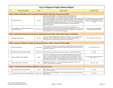|                | <b>City of Stayton Project Status Report</b>                  |                     |                                                                                                                                                                                                                                                                                                                                                                                                                                                                                                                                                                                                                                                         |                                                                                                                                       |  |  |
|----------------|---------------------------------------------------------------|---------------------|---------------------------------------------------------------------------------------------------------------------------------------------------------------------------------------------------------------------------------------------------------------------------------------------------------------------------------------------------------------------------------------------------------------------------------------------------------------------------------------------------------------------------------------------------------------------------------------------------------------------------------------------------------|---------------------------------------------------------------------------------------------------------------------------------------|--|--|
| #              | <b>Project Description</b>                                    | <b>Dept</b>         | <b>Project Status</b>                                                                                                                                                                                                                                                                                                                                                                                                                                                                                                                                                                                                                                   | <b>Project Dates</b>                                                                                                                  |  |  |
|                |                                                               |                     | Goal 3- Build Partnerships with Community Organizations and other Government Entities                                                                                                                                                                                                                                                                                                                                                                                                                                                                                                                                                                   |                                                                                                                                       |  |  |
|                | <b>Partnership Efforts</b>                                    | All Depts           | Leaders Roundtable Meetings - 2nd Friday of Month (Covered Bridge Café)<br>Commissioners Breakfasts - 2nd Tuesday of Month (Covered Bridge Café)<br>Library Outreach Storyteller in various public and private schools/pre-schools funded for 4th<br>year. Collins Foundation, Friends of Library, Northwest Natural Gas & Larry Smith awarded<br>\$18,000 in challenge grants to the Library Foundation for Crown Jewel Society fundraising<br>effort. \$13,000 in matching gifts raised by November 1, 2012. SPLF needs \$5,000 to reach<br>goal and get full grants. See SPLF and City partnership for Library meeting room<br>enhancemenst (below). | SPLF Challenge Grants - Summer/Fall 2012<br>Library Foundation seeking Crown Jewel<br>Donations to Match \$18,000 Challenge<br>Grants |  |  |
| $\overline{2}$ | Pool Upgrades w/ Santiam Endowment and<br>Friends of the Pool | Swimming Pool       | Santiam Endowment funded pipe replacement and surge tank rehabilitation in the<br>Mechanical Room at the Stayton Pool. Work completed in September 2012. Locker rehab,<br>HVAC upgrades and various maintenance items still to be completed in 2013 and beyond.<br>See Local Option Levy for other approved pool projects.                                                                                                                                                                                                                                                                                                                              | Piping & Surge Tank Rehabilitation<br>Completed in September 2012.                                                                    |  |  |
|                |                                                               |                     | Goal 3- Build Partnerships with Community Organizations and other Government Entities (continued)                                                                                                                                                                                                                                                                                                                                                                                                                                                                                                                                                       |                                                                                                                                       |  |  |
| 3              | Volunteer Opportunities                                       | All Depts.          | Current list of volunteer opportunities is posted on City web site. 2012 I-SERVE projects<br>completed in Comm Ctr Park/Library area, Museum and Jordan Bridge repainting.<br>Community Service Workers continue to perform park maintenance.                                                                                                                                                                                                                                                                                                                                                                                                           | Next I-Serve Date - June 22, 2013                                                                                                     |  |  |
|                |                                                               |                     | Goal 4- Enhance Stayton's Livability by Supporting Parks, Library, Pool and Public Safety                                                                                                                                                                                                                                                                                                                                                                                                                                                                                                                                                               |                                                                                                                                       |  |  |
| 3              | Pioneer Park Rehab                                            | <b>Public Works</b> | Final Pioneer Park design plan for redevelopment completed. \$60K for park improvements<br>in Local Option Levy. With levy approval the Parks Board will file OPRD Local Govt Grant<br>application in April 2013.                                                                                                                                                                                                                                                                                                                                                                                                                                       | File Grant Apps in 2013.                                                                                                              |  |  |
| 4              | Community Center / Kitchen Remodel                            | Finance / PW        | Develop proposal & financing pkg to renovate, modernize or expand the Community Ctr                                                                                                                                                                                                                                                                                                                                                                                                                                                                                                                                                                     | On hold.                                                                                                                              |  |  |
| 5              | Library Lighting & ADA Upgrades                               | Library             | The library is looking for grant funds to add energy efficient lighting in the main reading<br>room. CCIS & Trust Management Grants awarded. Capitol Door installed ADA door<br>openers and Manning Concrete poured a wider sidewalk & HC ramp at library. New bike<br>rack installed in front of library. New entry lighting for Library meeting room and interior<br>improvements in Winter 2012. CCIS grant will also pay for new door openers for Com Ctr.                                                                                                                                                                                          | 90% completed. Balance of projects in<br>Winter 2012-13.                                                                              |  |  |
| $\overline{7}$ | Public Safety Code Amendments                                 | Police              | Emergency Operations Plan. PD Staff & MC Emergency Mgt staff to review a final<br>"DRAFT" before submittal to City Council.                                                                                                                                                                                                                                                                                                                                                                                                                                                                                                                             | To Council - 2013                                                                                                                     |  |  |
|                | Goal 5- Promote Honest, Efficient & Effective City Government |                     |                                                                                                                                                                                                                                                                                                                                                                                                                                                                                                                                                                                                                                                         |                                                                                                                                       |  |  |
| $\mathbf{1}$   | <b>Encourage Business Friendly Attitude</b>                   | All Depts.          | Alison McKenzie, GROW, assisting city staff on improving on city's community relations and<br>customer service approach.                                                                                                                                                                                                                                                                                                                                                                                                                                                                                                                                | On-going                                                                                                                              |  |  |
| 4              | Community Open House Town Hall Meetings                       | Mayor/Council       | Hold Community Town Hall Meetings. Next Town Hall in Winter 2013 after Council Goal<br>Setting Session.                                                                                                                                                                                                                                                                                                                                                                                                                                                                                                                                                 | Winter 2013                                                                                                                           |  |  |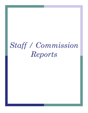## *Staff / Commission Reports*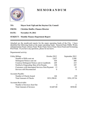

## **M E M O R A N D U M**

**TO: Mayor Scott Vigil and the Stayton City Council**

**FROM: Christine Shaffer, Finance Director** 

**DATE: November 19, 2012** 

**SUBJECT: Monthly Finance Department Report** 

Attached are the month-end reports for the major operating funds of the City. I have identified the following funds as the major operating funds: General Fund, Public Works Administration Fund, Library Fund, Water Fund, Sewer Fund, Street Fund and Swimming Pool Fund. If you have any questions, please let me know.

Departmental activity:

| <b>Utility Billing:</b>                         | October 2012 | September 2012 |
|-------------------------------------------------|--------------|----------------|
| Number of Bills sent out                        | 2,637        | 2,590          |
| Delinquent Notices sent out                     | 526          | 480            |
| Courtesy Delinquent Notices sent to Landlords   | 249          | 215            |
| Notified of Impending Shut off & Penalty        | 120          | 107            |
| Customers with Interrupted Services Non-Payment | 13           | 19             |
| Services still Disconnected                     | 0            | $\Omega$       |
| <b>Accounts Payable:</b>                        |              |                |
| Number of Checks Issued                         | 146          | 159            |
| <b>Total Amount of Checks</b>                   | \$531,598.81 | \$781,197.94   |
| <b>Accounts Receivable:</b>                     |              |                |
| Number of Invoices Sent Out                     | 5            |                |
| <b>Total Amount of Invoices</b>                 | \$3,607.00   | \$930          |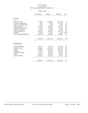#### GENERAL FUND

|                                   | <b>YTD ACTUAL</b> | <b>BUDGET</b> | VARIANCE     | <b>PCNT</b> |
|-----------------------------------|-------------------|---------------|--------------|-------------|
| <b>REVENUE</b>                    |                   |               |              |             |
| PROPERTY TAXES                    | 41,898.20         | 1,708,922.00  | 1,667,023.80 | 2.5         |
| <b>CHARGES FOR SERVICES</b>       | 456.00            | 7,200.00      | 6,744.00     | 6.3         |
| <b>GRANTS &amp; CONTRIBUTIONS</b> | 375.00            | 1,500.00      | 1,125.00     | 25.0        |
| <b>FRANCHISE FEES</b>             | 220,575.43        | 626,000.00    | 405,424.57   | 35.2        |
| LICENSES, PERMITS & FEES          | 4,434.32          | 16,000.00     | 11,565.68    | 27.7        |
| <b>FINES &amp; FORFEITURES</b>    | 11,795.43         | 20,500.00     | 8,704.57     | 57.5        |
| <b>INTERGOVERNMENTAL</b>          |                   |               |              | 33.6        |
| <b>INTEREST</b>                   | 54,885.91         | 163,200.00    | 108,314.09   |             |
|                                   | 2,423.26)         | 1,000.00      | 3,423.26     | (242.3)     |
| MISCELLANEOUS/TRANSFERS           | 104,557.36        | 385,425.00    | 280,867.64   | 27.1        |
|                                   |                   |               |              |             |
|                                   | 436,554.39        | 2,929,747.00  | 2,493,192.61 | 14.9        |
| <b>EXPENDITURES</b>               |                   |               |              |             |
| NON-DEPARTMENTAL                  | 96,611.20         | 411,000.00    | 314,388.80   | 23.5        |
| <b>ADMINISTRATION</b>             | 141,860.32        | 461,973.00    | 320,112.68   | 30.7        |
| <b>POLICE</b>                     | 577,490.46        | 1,866,232.00  | 1,288,741.54 | 30.9        |
| <b>PLANNING</b>                   | 44,734.57         | 138,224.00    | 93,489.43    | 32.4        |
| <b>COMMUNITY CENTER</b>           | 15,218.99         | 56,798.00     | 41,579.01    | 26.8        |
| <b>PARKS</b>                      | 52,695.27         | 141,576.00    | 88,880.73    | 37.2        |
| <b>STREET LIGHTING</b>            | 26,003.93         | 103,915.00    | 77,911.07    | 25.0        |
|                                   | 954,614.74        | 3,179,718.00  | 2,225,103.26 | 30.0        |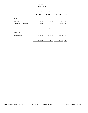#### PUBLIC WORKS ADMINISTRATION

|                         | <b>YTD ACTUAL</b> | <b>BUDGET</b> | <b>VARIANCE</b> | <b>PCNT</b> |
|-------------------------|-------------------|---------------|-----------------|-------------|
| <b>REVENUE</b>          |                   |               |                 |             |
| <b>INTEREST</b>         | 54.37             | 100.00        | 45.63           | 54.4        |
| MISCELLANEOUS/TRANSFERS | 103,250.00        | 415,000.00    | 311,750.00      | 24.9        |
|                         |                   |               |                 |             |
|                         | 103,304.37        | 415,100.00    | 311,795.63      | 24.9        |
|                         |                   |               |                 |             |
| <b>EXPENDITURES</b>     |                   |               |                 |             |
| DEPARTMENT 80           | 124,469.88        | 438,423.00    | 313,953.12      | 28.4        |
|                         | 124,469.88        | 438,423.00    | 313,953.12      | 28.4        |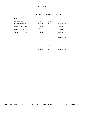#### LIBRARY FUND

|                                   | <b>YTD ACTUAL</b> | <b>BUDGET</b> | <b>VARIANCE</b> | <b>PCNT</b> |
|-----------------------------------|-------------------|---------------|-----------------|-------------|
| <b>REVENUE</b>                    |                   |               |                 |             |
|                                   |                   |               |                 |             |
| PROPERTY TAXES                    | 3,339.81          | 134,700.00    | 131,360.19      | 2.5         |
| <b>CHARGES FOR SERVICES</b>       | 16,265.25         | 80,450.00     | 64,184.75       | 20.2        |
| <b>GRANTS &amp; CONTRIBUTIONS</b> | 150.00            | 30,000.00     | 29,850.00       | .5          |
| LICENSES, PERMITS & FEES          | 3,434.75          | 12,300.00     | 8,865.25        | 27.9        |
| <b>FINES &amp; FORFEITURES</b>    | 6,026.49          | 15,000.00     | 8,973.51        | 40.2        |
| <b>INTERGOVERNMENTAL</b>          | .00.              | 1,100.00      | 1,100.00        | .0          |
| <b>INTEREST</b>                   | 93.31             | 200.00        | 106.69          | 46.7        |
| MISCELLANEOUS/TRANSFERS           | 32,375.00         | 131,100.00    | 98,725.00       | 24.7        |
|                                   | 61,684.61         | 404,850.00    | 343,165.39      | 15.2        |
| <b>EXPENDITURES</b>               |                   |               |                 |             |
| DEPARTMENT 80                     | 142,546.42        | 444,912.00    | 302,365.58      | 32.0        |
|                                   | 142,546.42        | 444,912.00    | 302,365.58      | 32.0        |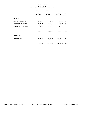#### WATER ENTERPRISE FUND

|                             | <b>YTD ACTUAL</b> | <b>BUDGET</b> | <b>VARIANCE</b> | <b>PCNT</b> |
|-----------------------------|-------------------|---------------|-----------------|-------------|
| <b>REVENUE</b>              |                   |               |                 |             |
| <b>CHARGES FOR SERVICES</b> | 825,300.11        | 1,745,000.00  | 919,699.89      | 47.3        |
| LICENSES, PERMITS & FEES    | 11,212.50         | 29,000.00     | 17,787.50       | 38.7        |
| <b>INTEREST</b>             | 2,304.65          | 3,500.00      | 1,195.35        | 65.9        |
| MISCELLANEOUS/TRANSFERS     | 183.07            | 11,000.00     | 10,816.93       | 1.7         |
|                             | 839,000.33        | 1,788,500.00  | 949,499.67      | 46.9        |
| <b>EXPENDITURES</b>         |                   |               |                 |             |
| DEPARTMENT 86               | 458,209.16        | 2,324,761.00  | 1,866,551.84    | 19.7        |
|                             | 458,209.16        | 2,324,761.00  | 1,866,551.84    | 19.7        |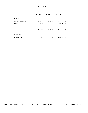#### SEWER ENTERPRISE FUND

|                             | <b>YTD ACTUAL</b> | <b>BUDGET</b> | <b>VARIANCE</b> | <b>PCNT</b> |
|-----------------------------|-------------------|---------------|-----------------|-------------|
|                             |                   |               |                 |             |
| <b>REVENUE</b>              |                   |               |                 |             |
| <b>CHARGES FOR SERVICES</b> | 868,338.19        | 2,626,680.00  | 1,758,341.81    | 33.1        |
| <b>INTEREST</b>             | 4,198.54          | 9,000.00      | 4,801.46        | 46.7        |
| MISCELLANEOUS/TRANSFERS     | 270.80            | 2,500.00      | 2,229.20        | 10.8        |
|                             | 872,807.53        | 2,638,180.00  | 1,765,372.47    | 33.1        |
| <b>EXPENDITURES</b>         |                   |               |                 |             |
| DEPARTMENT 86               | 700,985.62        | 3,405,469.00  | 2,704,483.38    | 20.6        |
|                             | 700,985.62        | 3,405,469.00  | 2,704,483.38    | 20.6        |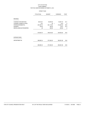#### STREET FUND

|                             | <b>YTD ACTUAL</b> | <b>BUDGET</b> | <b>VARIANCE</b> | <b>PCNT</b> |
|-----------------------------|-------------------|---------------|-----------------|-------------|
| <b>REVENUE</b>              |                   |               |                 |             |
| <b>CHARGES FOR SERVICES</b> | 28,612.81         | 84,000.00     | 55,387.19       | 34.1        |
| LICENSES, PERMITS & FEES    | 3.61              | .00           | 3.61)           | .0          |
| <b>INTERGOVERNMENTAL</b>    | 487,292.70        | 861,119.00    | 373,826.30      | 56.6        |
| <b>INTEREST</b>             | 154.63            | 250.00        | 95.37           | 61.9        |
| MISCELLANEOUS/TRANSFERS     | .00.              | 250.00        | 250.00          | .0          |
|                             |                   |               |                 |             |
|                             | 516,063.75        | 945,619.00    | 429,555.25      | 54.6        |
|                             |                   |               |                 |             |
| <b>EXPENDITURES</b>         |                   |               |                 |             |
| DEPARTMENT 80               | 386,880.34        | 977,462.00    | 590,581.66      | 39.6        |
|                             |                   |               |                 |             |
|                             | 386,880.34        | 977,462.00    | 590,581.66      | 39.6        |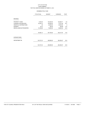#### SWIMMING POOL FUND

|                                   | <b>YTD ACTUAL</b> | <b>BUDGET</b> | VARIANCE   | <b>PCNT</b> |
|-----------------------------------|-------------------|---------------|------------|-------------|
| <b>REVENUE</b>                    |                   |               |            |             |
| PROPERTY TAXES                    | 4,030.29          | 153,400.00    | 149,369.71 | 2.6         |
| <b>CHARGES FOR SERVICES</b>       | 32,252.74         | 105,000.00    | 72,747.26  | 30.7        |
| <b>GRANTS &amp; CONTRIBUTIONS</b> | .00               | 20,000.00     | 20,000.00  | .0          |
| <b>INTEREST</b>                   | 39.12             | 300.00        | 260.88     | 13.0        |
| MISCELLANEOUS/TRANSFERS           | 19,159.98         | 79,000.00     | 59,840.02  | 24.3        |
|                                   |                   |               |            |             |
|                                   | 55,482.13         | 357,700.00    | 302,217.87 | 15.5        |
| <b>EXPENDITURES</b>               |                   |               |            |             |
| DEPARTMENT 86                     | 124,701.53        | 408,958.00    | 284,256.47 | 30.5        |
|                                   | 124,701.53        | 408,958.00    | 284,256.47 | 30.5        |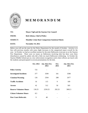

## **M E M O R A N D U M**

| TO:             | <b>Mayor Vigil and the Stayton City Council</b>         |
|-----------------|---------------------------------------------------------|
| <b>FROM:</b>    | <b>Rich Sebens, Chief of Police</b>                     |
| <b>SUBJECT:</b> | <b>Monthly Crime Rate Comparison Statistical Sheets</b> |
| DATE:           | <b>November 19, 2012</b>                                |

Below you will see the stats for the Police Department for the month of October. Activity is in line with previous months with some slight increases in the categorized report overall for the year. In October we had an excellent turnout for the joint Halloween event put on at the Stayton Fire Department. There were no issues on Halloween involving kids but there were three disturbances caused by adults who did a little too much Halloween celebrating. In October the Stayton Middle School put on a law enforcement recognition week where officers ate lunch with the students and participated in several presentations for the kids.

|                                | Oct. 2012 | Jan. thru Oct.<br>2012 | Oct.<br>2011 | Jan. thru Oct.<br>2011 |
|--------------------------------|-----------|------------------------|--------------|------------------------|
| <b>Police Activity</b>         | 725       |                        |              |                        |
| <b>Investigated Incidents</b>  | 377       | 3599                   | 341          | 3598                   |
| <b>Citations/Warning</b>       | 126       | 2504                   | 288          | 2677                   |
| <b>Traffic Accidents</b>       | 16        | 115                    | 9            | 109                    |
| <b>Arrests</b>                 | 42        | 512                    | 50           | 505                    |
| <b>Reserve Volunteer Hours</b> | 130.25    | 2250.25                | 292.25       | 3002.5                 |
| <b>Citizen Volunteer Hours</b> | 8.5       |                        |              |                        |
| <b>Peer Court Referrals:</b>   | 9         | 48                     |              |                        |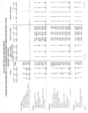| CONSOLIDATED MONTHLY CAT                              |                                       |              | STAYTON              | $\mathbf{10}$                | 1/2012               |                                       | $-10/31/2012$                | POLICE DEPARTMENT                     |                          |                   | EGORIZED REPORT-NIBRS FOR DISTRICT STAY |                         |                          |                                 |                        |                                |
|-------------------------------------------------------|---------------------------------------|--------------|----------------------|------------------------------|----------------------|---------------------------------------|------------------------------|---------------------------------------|--------------------------|-------------------|-----------------------------------------|-------------------------|--------------------------|---------------------------------|------------------------|--------------------------------|
|                                                       |                                       |              | <b>CRIMES</b>        |                              |                      |                                       | CRIMES CLEARED               |                                       |                          | PERCENT CLEARED   |                                         |                         | PERSONS ARRESTED         |                                 |                        |                                |
|                                                       | 10/1/12                               | 1/1/12       | $1/1/11$             | Per                          | rcent                | 10/1/12<br>BY.                        | ARREST & EXCEPTION<br>1/1/12 | 1/111                                 | 10/1/12                  | 1/1/12            | $1/1/11$                                |                         | £                        |                                 | 1/1/12<br>$\mathbf{e}$ | $1/1/11$<br>$\mathbf{e}$       |
|                                                       | 10/31/12                              | 10/31/12     | 10/31/11             |                              | Change               | 10/31/12<br>£                         | 10/31/12<br>$\mathbf{c}$     | 10/31/11<br>$\mathbf{e}$              | 10/31/12<br>$\mathbf{e}$ | 10/31/12          | 10/31/11<br>$\boldsymbol{\mathsf{s}}$   | Juv                     | <b>Adult</b>             | Total                           | 10/31/12 10/31/11      |                                |
| NON-CRIMINAL                                          |                                       |              |                      |                              |                      |                                       |                              |                                       |                          |                   |                                         |                         |                          |                                 |                        |                                |
| ACCIDENT-INJURY                                       |                                       |              | $\mathbf{H}$         | ۰                            | 55.6%                |                                       |                              |                                       |                          |                   |                                         |                         |                          |                                 |                        |                                |
| ALL OTHER NON-CRIMINAL<br>ACCIDENT-PROPERTY           | $\bullet$<br>251                      | 2,429<br>65  | 45<br>2,485          | $\frac{4}{3}$<br>ى<br>ب      | $1.4\%$<br>$.3\%$    |                                       |                              |                                       |                          |                   |                                         |                         |                          |                                 |                        |                                |
| NON CRIMINAL DOMESTIC DISTURBANCE                     | 270<br>$\equiv$                       | 110<br>2,618 | 103<br>2,642         | ۳                            | $6.8\%$<br>0.9%      |                                       |                              |                                       |                          |                   |                                         |                         |                          |                                 |                        |                                |
| PERSON                                                |                                       |              |                      |                              |                      |                                       |                              |                                       |                          |                   |                                         |                         |                          |                                 |                        |                                |
| AGGRAVATED ASSAULT                                    | S                                     |              | $\overline{18}$      | $\overline{2}$               | $-18.2%$             |                                       | n,                           |                                       | 100.0%                   | 83.3%             | 95.5%                                   | $\bullet\bullet$        |                          |                                 | $\mathbf{r}$           | $\mathbf{5}$                   |
| KIDNAPPING                                            | 0                                     |              | $\mathbf{r}$         | S                            | $-33.3%$             |                                       |                              | n                                     | $0.0\%$                  | $100.0\%$         | $00.0\%$                                | $\bullet$               | $\bullet$                |                                 |                        | $\overline{ }$<br>$\mathbf{I}$ |
| OFFENSE AGAINST FAMILY                                | $\bullet$<br>$\sim$                   |              | $\bullet$<br>64      | $\ddot{ }$<br>$\blacksquare$ | 30.6%<br>$-45.5%$    |                                       | $\frac{1}{2}$                | $\mathbf{u}$<br>45                    | $0.0\%$<br>$100.0\%$     | 83.3%<br>79.7%    | 90.9%<br>91.8%                          | $\bullet$               | $\bullet$<br>$\sim$      | $\bullet$<br>$\mathbf{r}$       | $\bullet$<br>43        | $\overline{41}$                |
| <b>OTHER ASSAULTS</b><br><b>RAPE</b>                  |                                       |              | S                    | S                            | $0.0\%$              | noon-on∞                              | $\mathbf{z}$                 | $\overline{\phantom{0}}$              | 100.0%                   | 66.7%             | 33.3%                                   | $\bullet$               | $\overline{\phantom{0}}$ |                                 |                        | $\overline{\phantom{0}}$       |
| RESTRAINING ORDER VIOLATION                           | ◒                                     |              | $\bullet$            | $\mathbf{z}$                 | 200.0%               |                                       | $\bullet$                    | $\mathbf{a}$                          | $0.0\%$                  | $100.0\%$         | 100.0%                                  | $\bullet$               | $\bullet$                | $\bullet$                       | ₹                      | N                              |
| <b>SEX OFFENSES</b>                                   | $\overline{\mathbf{c}}$               |              | $\overline{15}$      | $\overline{14}$              | $7.1\%$              |                                       | $\mathbf{1}$                 | $\bullet$                             | $100.0\%$                | 73.3%             | 64.3%                                   | $\bullet$               | $\bullet$                | $\bullet$                       | ∞                      | $\infty$                       |
|                                                       | $\infty$                              | 114          | 104                  |                              | 9.6%                 |                                       | $\boldsymbol{\mathcal{S}}$   | 5                                     | 100.0%                   | 80.7%             | 87.5%                                   | $\bullet$               | ₩                        | $\overline{a}$                  | 82                     | $\boldsymbol{80}$              |
| PROPERTY                                              |                                       |              |                      |                              |                      |                                       |                              |                                       |                          |                   |                                         |                         |                          |                                 |                        |                                |
| <b>ARSON</b>                                          |                                       |              | 0                    |                              | $-100.0\%$           |                                       | 0                            | 0                                     | $0.0\%$                  | $0.0\%$           | $0.0\%$                                 |                         | 0                        |                                 |                        | $\bullet$                      |
| BURGLARY - BUSINESS                                   | $\mathbf{\tilde{z}}$                  |              | $\vec{a}$            |                              | 1300.0%              | $\bullet$                             |                              | $\bullet$                             | $0.0\%$                  | 7.1%              | $0.0\%$                                 | $\bullet$               | $\bullet$                |                                 |                        |                                |
| BURGLARY - OTHER STRUCTURE                            | n                                     |              | 12                   | $\overline{\mathbf{c}}$      | 500.0%               |                                       | $\mathbf{r}$                 | $\bullet$                             | 33.3%                    | 16.7%             | $0.0\%$                                 | $\bullet$<br>$\bullet$  | $\bullet$<br>$\bullet$   |                                 | $\bullet$              |                                |
| <b>COUNTERFEITING/FORGERY</b><br>BURGLARY - RESIDENCE | $\bullet$<br>m                        |              | 45<br>$\overline{r}$ | 25<br>$\mathbf{I}$           | $80.0\%$<br>$-36.4%$ | $\bullet$<br>$\bullet$                | $\bullet$                    | $\overline{r}$                        | $0.0\%$<br>$0.0\%$       | 42.9%<br>$13.3\%$ | $28.0\%$<br>36.4%                       |                         | $\bullet$                |                                 | $\infty \cap \infty$   | oonnor                         |
| EMBEZZLEMENT                                          | $\bullet$                             |              | $\bullet$            |                              | $-100.0\%$           | $\bullet$                             | $\omega$                     | $\rightarrow$ 0                       | $0.0\%$                  | $0.0\%$           | $0.0\%$                                 | $\circ$ $\circ$         | $\bullet$                |                                 |                        |                                |
| FRAUD                                                 | 4                                     |              | 36                   | 42                           | $-14.3\%$            | $\sim$                                | 13                           | $\overline{1}$                        | $50.0\%$                 | 36.1%             | 33.3%                                   | $\bullet$               | $\overline{\phantom{0}}$ |                                 | $\overline{15}$        |                                |
| LARCENY                                               | 25                                    | 248          | 181                  |                              | 37.0%                | $\overline{a}$                        | 56                           | 58                                    | $16.0\%$                 | 22.6%             | 32.0%                                   | $\sim$                  |                          |                                 | 49                     |                                |
| MOTOR VEHICLE THEFT                                   | $\mathbf{z}$                          |              | 22                   | n                            | 340.0%               | $\bullet$<br>$\overline{\phantom{0}}$ | $\bullet$                    | $\bullet$<br>$\overline{\phantom{0}}$ | $0.0\%$<br>$00.0\%$      | 75.0%<br>27.3%    | $20.0\%$<br>$0.0\%$                     | $\bullet$               | $\bullet$<br>$\bullet$   |                                 | Ю<br>$\mathbf{r}$      | $45$ $\sim$                    |
| <b>ROBBERY</b>                                        | $\bullet$<br>$\overline{\phantom{0}}$ |              | 4                    | $\bullet$<br>$\mathbf{z}$    | $0.0\%$<br>$50.0\%$  | $\bullet$                             | E<br>ొ                       | $\mathbf{\tilde{c}}$                  | $0.0\%$                  | 100.0%            | 100.0%                                  | $\bullet$               | $\bullet$                |                                 | m                      | $\mathbf{z}$                   |
| STOLEN PROPERTY<br><b>VANDALISM</b>                   | $\overline{17}$                       |              | 139                  | 126                          | $10.3\%$             | $\sim$                                | 38                           | $\overline{31}$                       | 11.8%                    | 27.3%             | 24.6%                                   |                         |                          |                                 | $\overline{5}$         | 25                             |
|                                                       | 57                                    |              | 397<br>530           |                              | 33.5%                | $\mathbf{10}$                         | 131                          | 117                                   | 17.5%                    | 24.7%             | 29.5%                                   | m                       | $\circ$ a                | <b>In</b>                       | $\overline{141}$       | 57                             |
| SOCIETY                                               |                                       |              |                      |                              |                      |                                       |                              |                                       |                          |                   |                                         |                         |                          |                                 |                        |                                |
| ALL OTHER                                             | $\overline{a}$                        |              | 196                  | 198                          | $-1.0%$              | $\tilde{=}$                           | 109                          | 113                                   | 66.7%                    | 55.6%             | 57.1%                                   |                         |                          |                                 | 45                     | $\mathbf{60}$                  |
| <b>ANIMAL</b>                                         | 0                                     |              | $\mathbf{\hat{z}}$   | J                            | $0.0\%$              | $\bullet$                             |                              |                                       | $0.0\%$                  | 50.0%             | 100.0%                                  |                         | n 0 0                    |                                 | $\bullet$              | $\mathbf{a}$                   |
| CURFEW                                                |                                       |              | 28                   | 35                           | $-20.0\%$            |                                       | 28                           |                                       | 100.0%                   | 100.0%            | 100.0%                                  |                         |                          |                                 | 37                     | $\mathfrak{L}$                 |
| CUSTODY-MATERIAL WITNESS                              | $\bullet$                             |              | $\circ$ $\sim$       | $\bullet$                    | $0.0\%$              | 0                                     | $\circ$ $\sim$               | $\alpha$ $\omega$ $\alpha$            | $0.0\%$<br>100.0%        | $0.0\%$<br>100.0% | $0.0\%$<br>100.0%                       | $\circ$ $\circ$ $\circ$ | $\overline{\phantom{0}}$ | $\circ$ $\circ$ $\circ$ $\circ$ | $-5$                   | $\bullet$<br>$\circ$           |
| CUSTODY-MENTAL                                        |                                       |              |                      | $\circ$                      | $6.7\%$              |                                       |                              |                                       |                          |                   |                                         |                         |                          |                                 |                        |                                |
| PR1040                                                |                                       |              |                      |                              |                      | Page 1 of 2                           |                              |                                       |                          |                   |                                         |                         |                          |                                 | 11/13/2012             |                                |

PR1040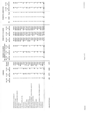|                                   |                            | <b>CRIMES</b>            |                            |                         |                          | CRIMES CLEARED           |                                 |                          | PERCENT CLEARED        |                              |     | PERSONS ARRESTED        |               |                                   |                   |
|-----------------------------------|----------------------------|--------------------------|----------------------------|-------------------------|--------------------------|--------------------------|---------------------------------|--------------------------|------------------------|------------------------------|-----|-------------------------|---------------|-----------------------------------|-------------------|
|                                   | 10/1/12                    | 1/1/12                   | 1/1/11                     | Percent                 | 10/1/12                  | 1/1/12                   | BY ARREST & EXCEPTION<br>1/1/11 | 10/1/12                  | 1/1/12                 | 1/1/11                       |     | $\boldsymbol{\epsilon}$ |               | 1/1/12                            | 1/111             |
|                                   | 10/31/12<br>$\mathfrak{e}$ | 10/31/12<br>$\mathbf{e}$ | 10/31/11<br>$\mathfrak{g}$ | lange<br>$\ddot{\circ}$ | 10/31/12<br>$\mathbf{e}$ | 10/31/12<br>$\mathbf{e}$ | 10/31/11<br>$\mathbf{e}$        | 10/31/12<br>$\mathbf{c}$ | 10/31/12<br>$\ddot{a}$ | 10/31/11<br>$\ddot{\bullet}$ | Juv | <b>Adult</b>            | Total         | 10/31/12 10/31/1<br>$\ddot{a}$    | $\mathbf{e}$      |
|                                   |                            |                          |                            |                         |                          |                          |                                 |                          |                        |                              |     |                         |               |                                   |                   |
| <b>DISORDERLY CONDUCT</b>         |                            | 55                       | $\frac{4}{6}$              | 0.6%                    |                          | 51                       | 36                              | $83.3\%$                 | 92.7%                  | 78.3%                        |     |                         |               |                                   |                   |
| <b>DR WHILE SUSP</b>              |                            | $\bullet$                | 23                         | $-73.9%$                |                          |                          | $\frac{23}{50}$                 | $100.0\%$                | $(00.0\%$              | 100.0%                       |     |                         |               |                                   |                   |
| DRIVING UNDER INFLUENCE           |                            | 52                       | 50                         | 4.0%                    |                          | 52                       |                                 | $100.0\%$                | 100.0%                 | $100.0\%$                    |     |                         |               |                                   |                   |
| <b>ELUDING</b>                    |                            |                          |                            | $50.0\%$                |                          |                          |                                 | 100.0%                   | 100.0%                 | 100.0%                       |     |                         |               | o g q 4 - 5 w g L 2 o w 3 o 1 o 1 | ង ដ ដ ដ ១ ១       |
| <b>ESCAPE</b>                     |                            |                          |                            | 300.0%                  |                          |                          |                                 | 100.0%                   | $100.0\%$              | 100.0%                       |     |                         |               |                                   |                   |
| FAIL TO DISPLAY DL                |                            |                          |                            | $0.0\%$                 |                          |                          |                                 | $0.0\%$                  | 100.0%                 | $0.0\%$                      |     |                         |               |                                   |                   |
| <b>FUGITIVE</b>                   |                            | 83                       | 82                         | $1.2\%$                 |                          | 89                       | 82                              | $100.0\%$                | 107.2%                 | $100.0\%$                    |     |                         |               |                                   |                   |
| HIT & RUN                         |                            | 36                       | 46                         | 1.7%<br>Ļ               |                          | $\infty$                 | $\mathbf{10}$                   | $25.0\%$                 | 22.2%                  | 21.7%                        |     |                         |               |                                   | $3.480$ $6.960$   |
| JQUOR LAWS                        |                            |                          | 27                         | $-37.0\%$<br>114.3%     |                          | $\frac{20}{16}$          |                                 | $0.0\%$                  | 117.6%                 | 107.4%                       |     |                         |               |                                   |                   |
| MIP TOBACCO                       |                            | $\frac{5}{15}$           | $\overline{ }$             |                         |                          |                          |                                 | 100.0%                   | 106.7%                 | $100.0\%$                    |     |                         |               |                                   |                   |
| NARCOTICS/DRUGS                   |                            | 63                       | $\mathbf{S}$               | $5.0\%$                 |                          | 67                       | 3.5492                          | 166.7%                   | 106.3%                 | 111.7%                       |     |                         |               |                                   |                   |
| PROP RECOVERED - FOR OTHER AGENCY |                            |                          |                            |                         |                          |                          |                                 | $0.0\%$                  | 11.1%                  | 100.0%                       |     |                         |               |                                   |                   |
| RECKLESS DRIVING                  |                            |                          | $\overline{\mathbf{c}}$    | 350.0%<br>100.0%        |                          |                          |                                 | $0.0\%$                  | 100.0%                 | $100.0\%$                    |     |                         |               |                                   |                   |
| <b>RUNAWAY</b>                    |                            | 35                       | $\overline{20}$            | $5.0\%$                 |                          | रु                       |                                 | 120.0%                   | 97.1%                  | 95.0%                        |     |                         |               |                                   | $\approx$ $\circ$ |
| <b>SEX OFFENSES</b>               |                            |                          |                            | $0.0\%$<br>$\tilde{=}$  |                          |                          |                                 | $0.0\%$                  | $0.0\%$                | $0.0\%$                      |     |                         |               |                                   |                   |
| <b>TRESPASS</b>                   | m                          | 55                       | 47                         | 7.0%                    |                          | 38                       | 38                              | $60.0\%$                 | 69.1%                  | 80.9%                        |     |                         | $\sim$        |                                   | 15                |
| VEH RECOVERED - FOR OTHER AGENCY  |                            |                          |                            | $0.0\%$                 |                          |                          |                                 | $0.0\%$                  | $100.0\%$              | $0.0\%$                      |     |                         |               |                                   |                   |
| WARRANT                           |                            | 33                       | $\frac{8}{10}$             | 3.3%                    |                          | रु                       | $\frac{8}{10}$                  | $0.0\%$                  | $103.0\%$              | $100.0\%$                    |     |                         |               | $\frac{8}{7}$                     | 38                |
| WEAPONS                           |                            |                          |                            | $0.0\%$                 |                          |                          |                                 | $0.0\%$                  | 116.7%                 | 33.3%                        | ం ఆ | $\frac{8}{10}$          |               |                                   |                   |
|                                   | 73                         | 711                      | 679                        | 4.7%                    | 57                       | 581                      | 546                             | 78.1%                    | 81.7%                  | 80.4%                        |     |                         | $\frac{4}{2}$ | 512                               | 197               |
|                                   |                            |                          |                            |                         |                          |                          |                                 |                          |                        |                              |     |                         |               |                                   |                   |
| <b>GRAND TOTALS</b>               | 408                        | 3,973                    | 3,822                      | 4.0%                    |                          |                          |                                 |                          |                        |                              |     |                         |               |                                   |                   |
|                                   |                            |                          |                            |                         |                          |                          |                                 |                          |                        |                              |     |                         |               |                                   |                   |

Page 2 of 2

11/13/2012

Ŷ.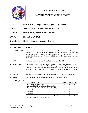

## **CITY OF STAYTON** MONTHLY OPERATING REPORT

#### **TO: Mayor A. Scott Vigil and the Stayton City Council**

- **FROM: Jennifer Russell, Administrative Assistant**
- **THRU: Dave Kinney, Public Works Director**
- **DATE: November 19, 2012**

**SUBJECT: October Monthly Operating Report** 

#### **KEY ACTIVITIES STATUS**

- **WWTP Facility** Effluent flows: 38.19 million gallons were treated during October. The highest flow was 1.85 million gallons on October 29th, and the lowest flow was 0.90 million gallons on October 7th. The average flow was 1.23 million gallons. Total rainfall for October was 7.69 inches. 13.11 tons of dewatered biosolids were produced.
- **WTP** Highest production day was 5,496,000 on the October 5th.
- **Water System** City crews installed one new meter, replaced 3 meters and installed 147 new radios. Lowered meter base on First Ave. Replaced 2 services on Kent Ave. Cleaned #3 Filter bed. Replaced a meter stop on Wyatt. Installed 2 new services & replaced one service on E. Washington. Completed 8" water line on E. Washington and First.
- **Streets** Swept 259 curb miles and removed approximately 214 cubic yards of material.
- Parks Court ordered Community Service: 16 hours; Volunteers: 9 hours.
- **Building Permits**

| <b>Permit Type</b>                             | <b>Issued</b> | <b>SDC's Paid</b> |
|------------------------------------------------|---------------|-------------------|
| New Single Family Dwelling                     |               | \$22,130.00       |
| Residential Building Addition/Alteration/Other |               |                   |
| Commercial Building Addition/Alteration/Other  |               |                   |
| Electrical                                     |               |                   |
| Mechanical                                     |               |                   |
| Plumbing                                       |               |                   |
| <b>TOTAL</b>                                   | 15            | \$22,130.00       |

*One (1) Residential SDC = \$11,065*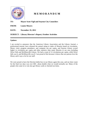

## **M E M O R A N D U M**

#### **TO**: **Mayor Scott Vigil and Stayton City Councilors**

**FROM**: **Louise Meyers** 

**DATE: November 19, 2012** 

#### **SUBJECT: Library Director's Report, October Activities**

#### **Updates:**

I am excited to announce that the American Library Association and the Library Journal, a professional journal, have released the annual rating or index of libraries based on circulation, library visits, program attendance, and computer use per capita, and Stayton Library scored higher in circulation per capita and other statistics than many libraries in our area including Silver Falls and McMinnville Library. We had a count of 12 circulations per capita, while Silver falls was 6, and McMinnville was 8. I am proud of this because it shows that our patrons love the library and it says a lot for our staff.

We were proud to have the Election ballot box in our library again this year, and our door count for the final two days was over 600—about double what we would normally see. Many of the people who came in to vote also got library cards or checked out items.